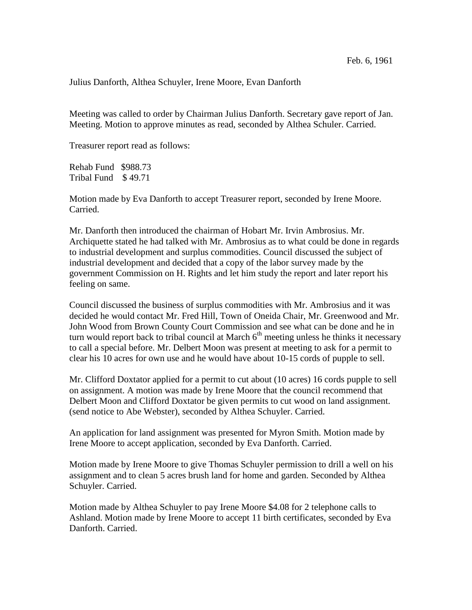Julius Danforth, Althea Schuyler, Irene Moore, Evan Danforth

Meeting was called to order by Chairman Julius Danforth. Secretary gave report of Jan. Meeting. Motion to approve minutes as read, seconded by Althea Schuler. Carried.

Treasurer report read as follows:

Rehab Fund \$988.73 Tribal Fund \$ 49.71

Motion made by Eva Danforth to accept Treasurer report, seconded by Irene Moore. Carried.

Mr. Danforth then introduced the chairman of Hobart Mr. Irvin Ambrosius. Mr. Archiquette stated he had talked with Mr. Ambrosius as to what could be done in regards to industrial development and surplus commodities. Council discussed the subject of industrial development and decided that a copy of the labor survey made by the government Commission on H. Rights and let him study the report and later report his feeling on same.

Council discussed the business of surplus commodities with Mr. Ambrosius and it was decided he would contact Mr. Fred Hill, Town of Oneida Chair, Mr. Greenwood and Mr. John Wood from Brown County Court Commission and see what can be done and he in turn would report back to tribal council at March  $6<sup>th</sup>$  meeting unless he thinks it necessary to call a special before. Mr. Delbert Moon was present at meeting to ask for a permit to clear his 10 acres for own use and he would have about 10-15 cords of pupple to sell.

Mr. Clifford Doxtator applied for a permit to cut about (10 acres) 16 cords pupple to sell on assignment. A motion was made by Irene Moore that the council recommend that Delbert Moon and Clifford Doxtator be given permits to cut wood on land assignment. (send notice to Abe Webster), seconded by Althea Schuyler. Carried.

An application for land assignment was presented for Myron Smith. Motion made by Irene Moore to accept application, seconded by Eva Danforth. Carried.

Motion made by Irene Moore to give Thomas Schuyler permission to drill a well on his assignment and to clean 5 acres brush land for home and garden. Seconded by Althea Schuyler. Carried.

Motion made by Althea Schuyler to pay Irene Moore \$4.08 for 2 telephone calls to Ashland. Motion made by Irene Moore to accept 11 birth certificates, seconded by Eva Danforth. Carried.